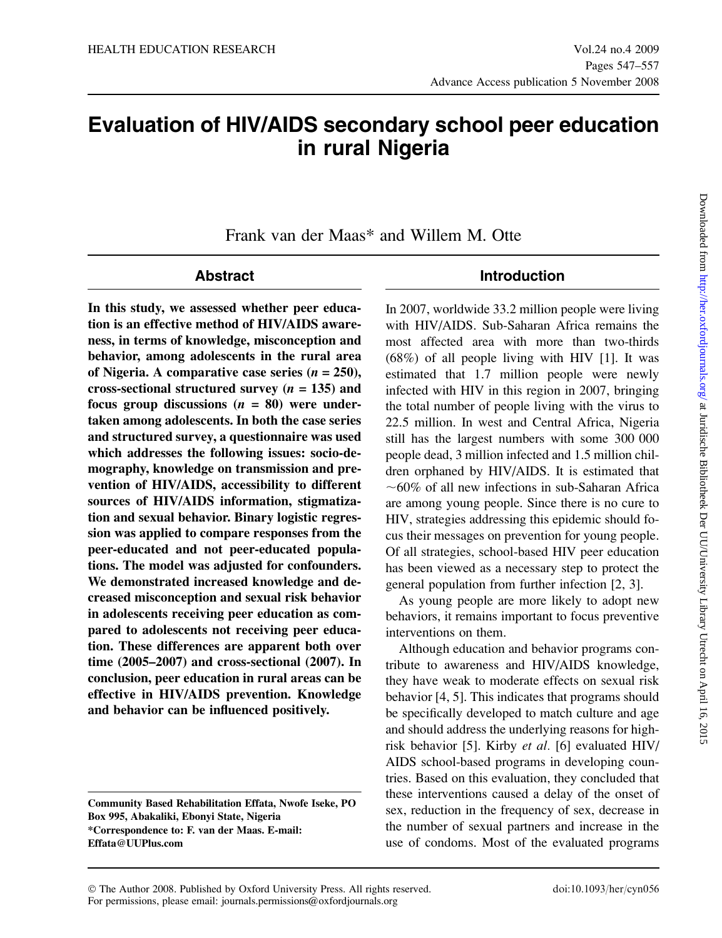# Evaluation of HIV/AIDS secondary school peer education in rural Nigeria

Frank van der Maas\* and Willem M. Otte

# Abstract

In this study, we assessed whether peer education is an effective method of HIV/AIDS awareness, in terms of knowledge, misconception and behavior, among adolescents in the rural area of Nigeria. A comparative case series  $(n = 250)$ , cross-sectional structured survey  $(n = 135)$  and focus group discussions  $(n = 80)$  were undertaken among adolescents. In both the case series and structured survey, a questionnaire was used which addresses the following issues: socio-demography, knowledge on transmission and prevention of HIV/AIDS, accessibility to different sources of HIV/AIDS information, stigmatization and sexual behavior. Binary logistic regression was applied to compare responses from the peer-educated and not peer-educated populations. The model was adjusted for confounders. We demonstrated increased knowledge and decreased misconception and sexual risk behavior in adolescents receiving peer education as compared to adolescents not receiving peer education. These differences are apparent both over time (2005–2007) and cross-sectional (2007). In conclusion, peer education in rural areas can be effective in HIV/AIDS prevention. Knowledge and behavior can be influenced positively.

# Introduction

In 2007, worldwide 33.2 million people were living with HIV/AIDS. Sub-Saharan Africa remains the most affected area with more than two-thirds (68%) of all people living with HIV [1]. It was estimated that 1.7 million people were newly infected with HIV in this region in 2007, bringing the total number of people living with the virus to 22.5 million. In west and Central Africa, Nigeria still has the largest numbers with some 300 000 people dead, 3 million infected and 1.5 million children orphaned by HIV/AIDS. It is estimated that  $\sim$  60% of all new infections in sub-Saharan Africa are among young people. Since there is no cure to HIV, strategies addressing this epidemic should focus their messages on prevention for young people. Of all strategies, school-based HIV peer education has been viewed as a necessary step to protect the general population from further infection [2, 3].

As young people are more likely to adopt new behaviors, it remains important to focus preventive interventions on them.

Although education and behavior programs contribute to awareness and HIV/AIDS knowledge, they have weak to moderate effects on sexual risk behavior [4, 5]. This indicates that programs should be specifically developed to match culture and age and should address the underlying reasons for highrisk behavior [5]. Kirby et al. [6] evaluated HIV/ AIDS school-based programs in developing countries. Based on this evaluation, they concluded that these interventions caused a delay of the onset of sex, reduction in the frequency of sex, decrease in the number of sexual partners and increase in the use of condoms. Most of the evaluated programs

Community Based Rehabilitation Effata, Nwofe Iseke, PO Box 995, Abakaliki, Ebonyi State, Nigeria \*Correspondence to: F. van der Maas. E-mail: Effata@UUPlus.com

The Author 2008. Published by Oxford University Press. All rights reserved. For permissions, please email: journals.permissions@oxfordjournals.org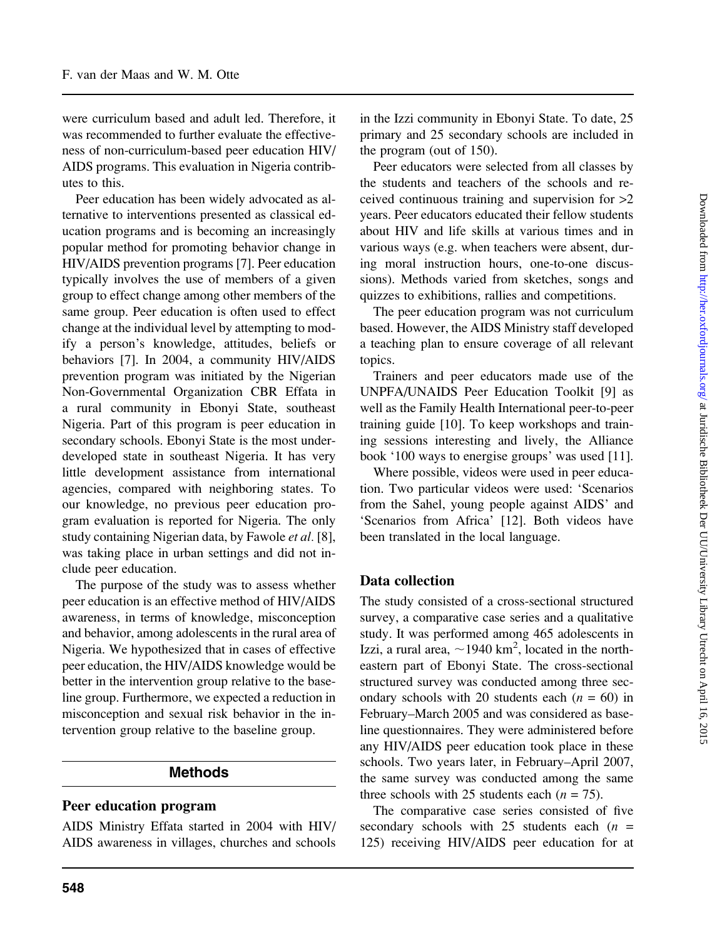were curriculum based and adult led. Therefore, it was recommended to further evaluate the effectiveness of non-curriculum-based peer education HIV/ AIDS programs. This evaluation in Nigeria contributes to this.

Peer education has been widely advocated as alternative to interventions presented as classical education programs and is becoming an increasingly popular method for promoting behavior change in HIV/AIDS prevention programs [7]. Peer education typically involves the use of members of a given group to effect change among other members of the same group. Peer education is often used to effect change at the individual level by attempting to modify a person's knowledge, attitudes, beliefs or behaviors [7]. In 2004, a community HIV/AIDS prevention program was initiated by the Nigerian Non-Governmental Organization CBR Effata in a rural community in Ebonyi State, southeast Nigeria. Part of this program is peer education in secondary schools. Ebonyi State is the most underdeveloped state in southeast Nigeria. It has very little development assistance from international agencies, compared with neighboring states. To our knowledge, no previous peer education program evaluation is reported for Nigeria. The only study containing Nigerian data, by Fawole et al. [8], was taking place in urban settings and did not include peer education.

The purpose of the study was to assess whether peer education is an effective method of HIV/AIDS awareness, in terms of knowledge, misconception and behavior, among adolescents in the rural area of Nigeria. We hypothesized that in cases of effective peer education, the HIV/AIDS knowledge would be better in the intervention group relative to the baseline group. Furthermore, we expected a reduction in misconception and sexual risk behavior in the intervention group relative to the baseline group.

# Methods

# Peer education program

AIDS Ministry Effata started in 2004 with HIV/ AIDS awareness in villages, churches and schools in the Izzi community in Ebonyi State. To date, 25 primary and 25 secondary schools are included in the program (out of 150).

Peer educators were selected from all classes by the students and teachers of the schools and received continuous training and supervision for >2 years. Peer educators educated their fellow students about HIV and life skills at various times and in various ways (e.g. when teachers were absent, during moral instruction hours, one-to-one discussions). Methods varied from sketches, songs and quizzes to exhibitions, rallies and competitions.

The peer education program was not curriculum based. However, the AIDS Ministry staff developed a teaching plan to ensure coverage of all relevant topics.

Trainers and peer educators made use of the UNPFA/UNAIDS Peer Education Toolkit [9] as well as the Family Health International peer-to-peer training guide [10]. To keep workshops and training sessions interesting and lively, the Alliance book '100 ways to energise groups' was used [11].

Where possible, videos were used in peer education. Two particular videos were used: 'Scenarios from the Sahel, young people against AIDS' and 'Scenarios from Africa' [12]. Both videos have been translated in the local language.

# Data collection

The study consisted of a cross-sectional structured survey, a comparative case series and a qualitative study. It was performed among 465 adolescents in Izzi, a rural area,  $\sim$ 1940 km<sup>2</sup>, located in the northeastern part of Ebonyi State. The cross-sectional structured survey was conducted among three secondary schools with 20 students each  $(n = 60)$  in February–March 2005 and was considered as baseline questionnaires. They were administered before any HIV/AIDS peer education took place in these schools. Two years later, in February–April 2007, the same survey was conducted among the same three schools with 25 students each  $(n = 75)$ .

The comparative case series consisted of five secondary schools with 25 students each  $(n =$ 125) receiving HIV/AIDS peer education for at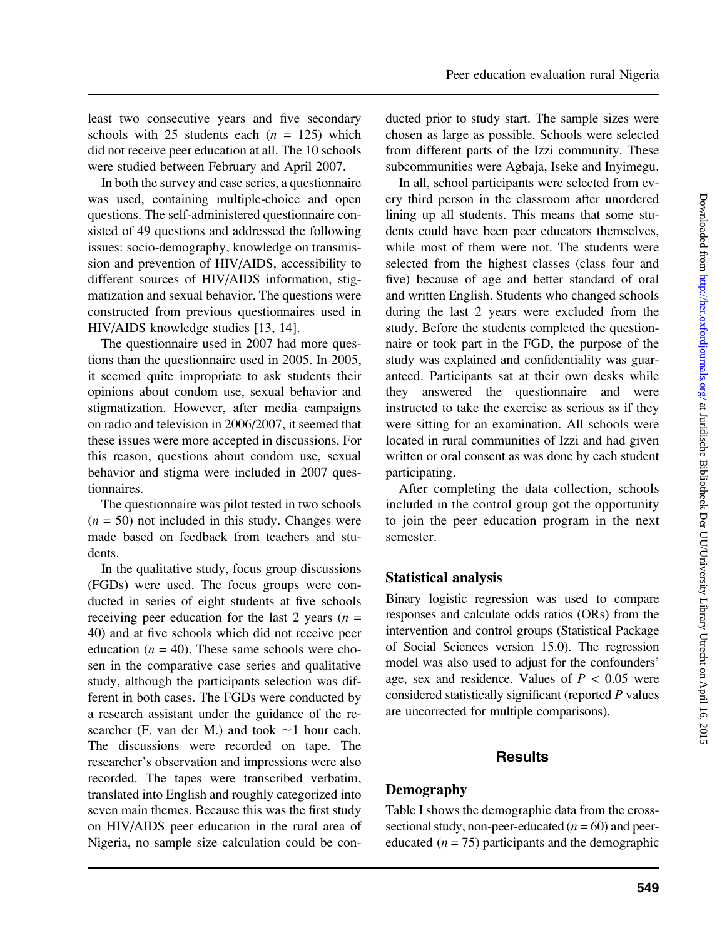least two consecutive years and five secondary schools with 25 students each  $(n = 125)$  which did not receive peer education at all. The 10 schools were studied between February and April 2007.

In both the survey and case series, a questionnaire was used, containing multiple-choice and open questions. The self-administered questionnaire consisted of 49 questions and addressed the following issues: socio-demography, knowledge on transmission and prevention of HIV/AIDS, accessibility to different sources of HIV/AIDS information, stigmatization and sexual behavior. The questions were constructed from previous questionnaires used in HIV/AIDS knowledge studies [13, 14].

The questionnaire used in 2007 had more questions than the questionnaire used in 2005. In 2005, it seemed quite impropriate to ask students their opinions about condom use, sexual behavior and stigmatization. However, after media campaigns on radio and television in 2006/2007, it seemed that these issues were more accepted in discussions. For this reason, questions about condom use, sexual behavior and stigma were included in 2007 questionnaires.

The questionnaire was pilot tested in two schools  $(n = 50)$  not included in this study. Changes were made based on feedback from teachers and students.

In the qualitative study, focus group discussions (FGDs) were used. The focus groups were conducted in series of eight students at five schools receiving peer education for the last 2 years  $(n =$ 40) and at five schools which did not receive peer education ( $n = 40$ ). These same schools were chosen in the comparative case series and qualitative study, although the participants selection was different in both cases. The FGDs were conducted by a research assistant under the guidance of the researcher (F. van der M.) and took  $\sim$ 1 hour each. The discussions were recorded on tape. The researcher's observation and impressions were also recorded. The tapes were transcribed verbatim, translated into English and roughly categorized into seven main themes. Because this was the first study on HIV/AIDS peer education in the rural area of Nigeria, no sample size calculation could be conducted prior to study start. The sample sizes were chosen as large as possible. Schools were selected from different parts of the Izzi community. These subcommunities were Agbaja, Iseke and Inyimegu.

In all, school participants were selected from every third person in the classroom after unordered lining up all students. This means that some students could have been peer educators themselves, while most of them were not. The students were selected from the highest classes (class four and five) because of age and better standard of oral and written English. Students who changed schools during the last 2 years were excluded from the study. Before the students completed the questionnaire or took part in the FGD, the purpose of the study was explained and confidentiality was guaranteed. Participants sat at their own desks while they answered the questionnaire and were instructed to take the exercise as serious as if they were sitting for an examination. All schools were located in rural communities of Izzi and had given written or oral consent as was done by each student participating.

After completing the data collection, schools included in the control group got the opportunity to join the peer education program in the next semester.

### Statistical analysis

Binary logistic regression was used to compare responses and calculate odds ratios (ORs) from the intervention and control groups (Statistical Package of Social Sciences version 15.0). The regression model was also used to adjust for the confounders' age, sex and residence. Values of  $P < 0.05$  were considered statistically significant (reported P values are uncorrected for multiple comparisons).

### **Results**

### Demography

Table I shows the demographic data from the crosssectional study, non-peer-educated  $(n = 60)$  and peereducated ( $n = 75$ ) participants and the demographic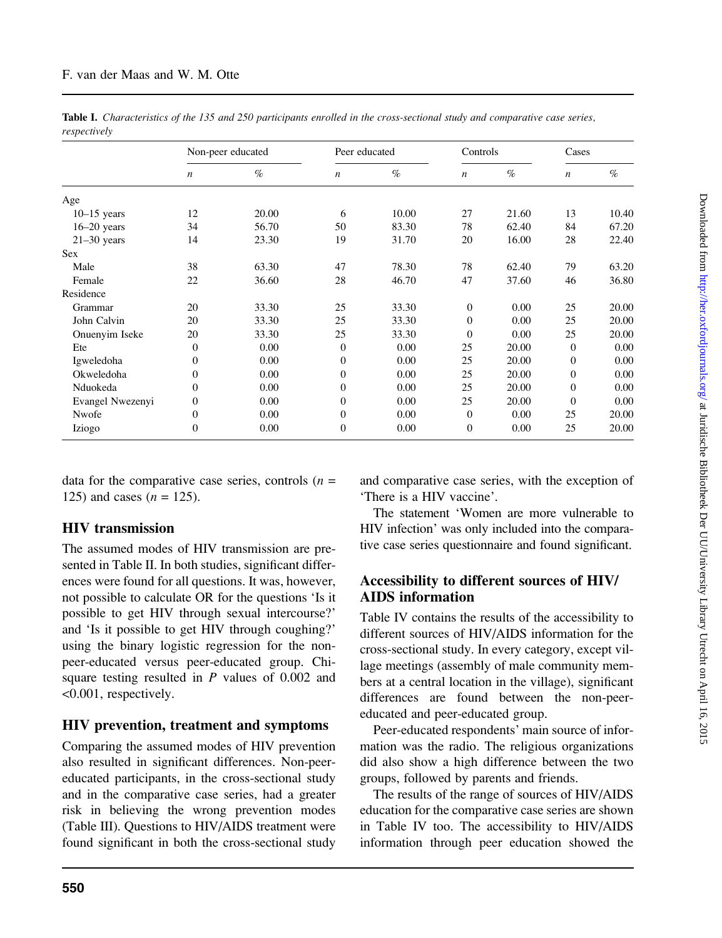|                  |                  | Non-peer educated<br>Peer educated<br>Controls |                  | Cases |                |       |                  |       |
|------------------|------------------|------------------------------------------------|------------------|-------|----------------|-------|------------------|-------|
|                  | $\boldsymbol{n}$ | $\%$                                           | $\boldsymbol{n}$ | $\%$  | n              | %     | $\boldsymbol{n}$ | $\%$  |
| Age              |                  |                                                |                  |       |                |       |                  |       |
| $10-15$ years    | 12               | 20.00                                          | 6                | 10.00 | 27             | 21.60 | 13               | 10.40 |
| $16-20$ years    | 34               | 56.70                                          | 50               | 83.30 | 78             | 62.40 | 84               | 67.20 |
| $21-30$ years    | 14               | 23.30                                          | 19               | 31.70 | 20             | 16.00 | 28               | 22.40 |
| <b>Sex</b>       |                  |                                                |                  |       |                |       |                  |       |
| Male             | 38               | 63.30                                          | 47               | 78.30 | 78             | 62.40 | 79               | 63.20 |
| Female           | 22               | 36.60                                          | 28               | 46.70 | 47             | 37.60 | 46               | 36.80 |
| Residence        |                  |                                                |                  |       |                |       |                  |       |
| Grammar          | 20               | 33.30                                          | 25               | 33.30 | $\overline{0}$ | 0.00  | 25               | 20.00 |
| John Calvin      | 20               | 33.30                                          | 25               | 33.30 | $\overline{0}$ | 0.00  | 25               | 20.00 |
| Onuenyim Iseke   | 20               | 33.30                                          | 25               | 33.30 | $\Omega$       | 0.00  | 25               | 20.00 |
| Ete              | $\theta$         | 0.00                                           | $\mathbf{0}$     | 0.00  | 25             | 20.00 | $\mathbf{0}$     | 0.00  |
| Igweledoha       | $\theta$         | 0.00                                           | $\mathbf{0}$     | 0.00  | 25             | 20.00 | $\theta$         | 0.00  |
| Okweledoha       | $\theta$         | 0.00                                           | $\mathbf{0}$     | 0.00  | 25             | 20.00 | $\mathbf{0}$     | 0.00  |
| Nduokeda         | $\theta$         | 0.00                                           | $\mathbf{0}$     | 0.00  | 25             | 20.00 | $\mathbf{0}$     | 0.00  |
| Evangel Nwezenyi | $\boldsymbol{0}$ | 0.00                                           | $\mathbf{0}$     | 0.00  | 25             | 20.00 | $\mathbf{0}$     | 0.00  |
| Nwofe            | $\Omega$         | 0.00                                           | $\mathbf{0}$     | 0.00  | $\overline{0}$ | 0.00  | 25               | 20.00 |
| Iziogo           | $\theta$         | 0.00                                           | $\mathbf{0}$     | 0.00  | $\mathbf{0}$   | 0.00  | 25               | 20.00 |

Table I. Characteristics of the 135 and 250 participants enrolled in the cross-sectional study and comparative case series, respectively

data for the comparative case series, controls  $(n =$ 125) and cases  $(n = 125)$ .

# HIV transmission

The assumed modes of HIV transmission are presented in Table II. In both studies, significant differences were found for all questions. It was, however, not possible to calculate OR for the questions 'Is it possible to get HIV through sexual intercourse?' and 'Is it possible to get HIV through coughing?' using the binary logistic regression for the nonpeer-educated versus peer-educated group. Chisquare testing resulted in P values of 0.002 and <0.001, respectively.

### HIV prevention, treatment and symptoms

Comparing the assumed modes of HIV prevention also resulted in significant differences. Non-peereducated participants, in the cross-sectional study and in the comparative case series, had a greater risk in believing the wrong prevention modes (Table III). Questions to HIV/AIDS treatment were found significant in both the cross-sectional study and comparative case series, with the exception of 'There is a HIV vaccine'.

The statement 'Women are more vulnerable to HIV infection' was only included into the comparative case series questionnaire and found significant.

### Accessibility to different sources of HIV/ AIDS information

Table IV contains the results of the accessibility to different sources of HIV/AIDS information for the cross-sectional study. In every category, except village meetings (assembly of male community members at a central location in the village), significant differences are found between the non-peereducated and peer-educated group.

Peer-educated respondents' main source of information was the radio. The religious organizations did also show a high difference between the two groups, followed by parents and friends.

The results of the range of sources of HIV/AIDS education for the comparative case series are shown in Table IV too. The accessibility to HIV/AIDS information through peer education showed the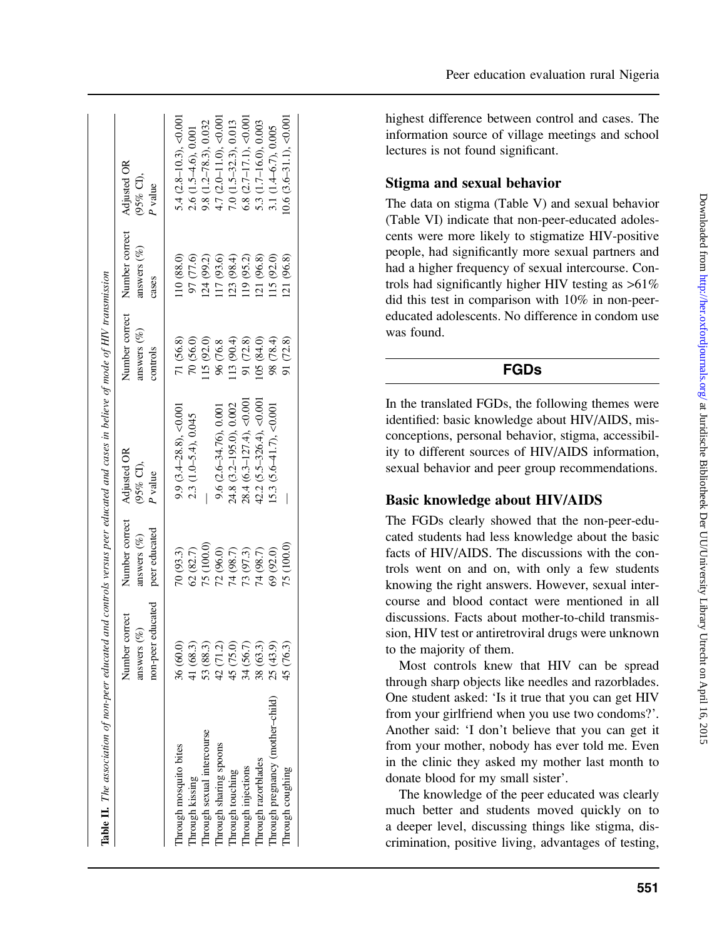|                                               | non-peer educated<br>Number correct<br>answers $(\%)$ | Number correct Adjusted OR<br>peer educated<br>answers $(\%)$ | $(95\% \text{ Cl})$ ,<br>P value | answers $(\%)$<br>controls | Number correct Number correct Adjusted OR<br>answers $(\%)$<br>cases | $(95\% \text{ Cl})$ ,<br>P value |
|-----------------------------------------------|-------------------------------------------------------|---------------------------------------------------------------|----------------------------------|----------------------------|----------------------------------------------------------------------|----------------------------------|
| hrough mosquito bites                         | 36 (60.0)                                             | 70(93.3)                                                      | $9.9(3.4-28.8), <0.001$          | 71 (56.8)                  | 10 (88.0)                                                            | $6.4 (2.8 - 10.3), < 0.001$      |
|                                               | 41 (68.3)                                             | 62(82.7)                                                      | $2.3(1.0-5.4), 0.045$            | 70 (56.0)                  | 97 (77.6)                                                            | $2.6(1.5-4.6), 0.001$            |
| Through kissing<br>Through sexual intercourse | 53 (88.3)                                             | 75 (100.0)                                                    |                                  | 115 (92.0)                 | 124 (99.2)                                                           | 9.8 (1.2-78.3), 0.032            |
| Inrough sharing spoons                        | 42 (71.2)                                             | 72 (96.0)                                                     | $9.6(2.6 - 34.76), 0.001$        | 96 (76.8                   | 117 (93.6)                                                           | $4.7 (2.0 - 11.0), < 0.00$       |
|                                               | 45 (75.0)                                             | 74 (98.7)                                                     | 24.8 (3.2-195.0), 0.002          | 113 (90.4)                 | 123(98.4)                                                            | $7.0(1.5-32.3), 0.013$           |
| Through touching<br>Through injections        | 34 (56.7)                                             | 73 (97.3)                                                     | $28.4(6.3-127.4), < 0.001$       | 91 (72.8)                  | 119 (95.2)                                                           | 6.8 $(2.7-17.1)$ , <0.001        |
| Inough razorblades                            | 38 (63.3)                                             | 74 (98.7)                                                     | $42.2$ (5.5–326.4), <0.001       | (0.44.0)                   | (21 (96.8))                                                          | 5.3 (1.7-16.0), 0.003            |
| (hrough pregnancy (mother-child)              | 25(43.9)                                              | 69 (92.0)                                                     | $[5.3 (5.6 - 41.7), <0.001$      | 98 (78.4)                  | 115 (92.0)                                                           | 3.1 (1.4-6.7), 0.005             |
| Through coughing                              | 45 (76.3)                                             | 75 (100.0)                                                    |                                  | (72.8)                     | (21 (96.8))                                                          | $0.6(3.6-31.1), 0.00$            |

highest difference between control and cases. The information source of village meetings and school lectures is not found significant.

### Stigma and sexual behavior

The data on stigma (Table V) and sexual behavior (Table VI) indicate that non-peer-educated adolescents were more likely to stigmatize HIV-positive people, had significantly more sexual partners and had a higher frequency of sexual intercourse. Controls had significantly higher HIV testing as >61% did this test in comparison with 10% in non-peereducated adolescents. No difference in condom use was found.

# FGDs

In the translated FGDs, the following themes were identified: basic knowledge about HIV/AIDS, misconceptions, personal behavior, stigma, accessibility to different sources of HIV/AIDS information, sexual behavior and peer group recommendations.

# Basic knowledge about HIV/AIDS

The FGDs clearly showed that the non-peer-educated students had less knowledge about the basic facts of HIV/AIDS. The discussions with the controls went on and on, with only a few students knowing the right answers. However, sexual intercourse and blood contact were mentioned in all discussions. Facts about mother-to-child transmission, HIV test or antiretroviral drugs were unknown to the majority of them.

Most controls knew that HIV can be spread through sharp objects like needles and razorblades. One student asked: 'Is it true that you can get HIV from your girlfriend when you use two condoms?'. Another said: 'I don't believe that you can get it from your mother, nobody has ever told me. Even in the clinic they asked my mother last month to donate blood for my small sister'.

The knowledge of the peer educated was clearly much better and students moved quickly on to a deeper level, discussing things like stigma, discrimination, positive living, advantages of testing,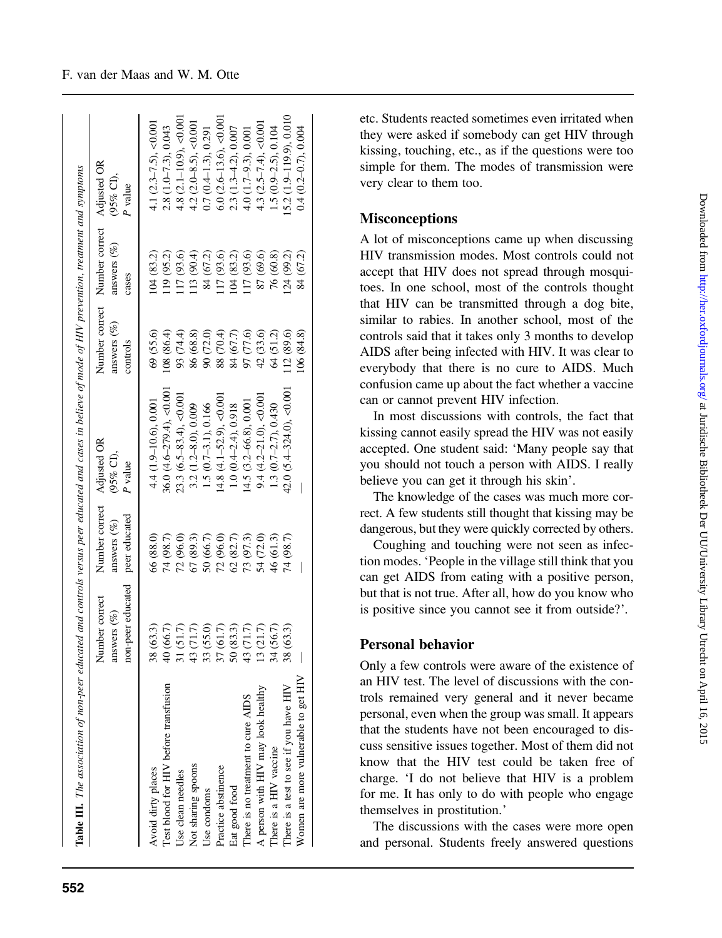| Table III. The association of non-peer educated and controls versus peer educated and cases in believe of mode of HIV prevention, treatment and symptoms |                                                                     |                                              |                              |                            |                                                                      |                                    |
|----------------------------------------------------------------------------------------------------------------------------------------------------------|---------------------------------------------------------------------|----------------------------------------------|------------------------------|----------------------------|----------------------------------------------------------------------|------------------------------------|
|                                                                                                                                                          | non-peer educated peer educated<br>Number correct<br>answers $(\%)$ | Number correct Adjusted OR<br>answers $(\%)$ | (95% CI),<br>P value         | answers $(\%)$<br>controls | Number correct Number correct Adjusted OR<br>answers $(\%)$<br>cases | $(95\% \text{ Cl})$ ,<br>$P$ value |
| Avoid dirty places                                                                                                                                       | 38 (63.3)                                                           | 66 (88.0)                                    | 4.4 (1.9-10.6), 0.001        | 69 (55.6)                  | 104(83.2)                                                            | 4.1 $(2.3-7.5)$ , <0.001           |
| Test blood for HIV before transfusion                                                                                                                    | 40 (66.7)                                                           | 74 (98.7)                                    | $36.0(4.6-279.4), <0.001$    | 108 (86.4)                 | 119 (95.2)                                                           | $2.8(1.0-7.3), 0.043$              |
| Use clean needles                                                                                                                                        | 31(51.7)                                                            | 72 (96.0)                                    | $23.3(6.5-83.4), <0.001$     | 93 (74.4)                  | 117 (93.6)                                                           | 4.8 $(2.1 - 10.9)$ , <0.001        |
| Not sharing spoons                                                                                                                                       | 43 (71.7)                                                           | 67(89.3)                                     | $3.2(1.2 - 8.0), 0.009$      | 86 (68.8)                  | 113 (90.4)                                                           | $4.2(2.0-8.5), <0.001$             |
| Use condoms                                                                                                                                              | 33 (55.0)                                                           | 50 (66.7)                                    | $1.5(0.7-3.1), 0.166$        | 90 (72.0)                  | 84 (67.2)                                                            | $0.7(0.4 - 1.3), 0.291$            |
| Practice abstinence                                                                                                                                      | 37 (61.7)                                                           | 72 (96.0)                                    | $(4.8(4.1-52.9), <0.001$     | 88 (70.4)                  | 117 (93.6)                                                           | $6.0 (2.6 - 13.6), < 0.001$        |
| Eat good food                                                                                                                                            | 50(83.3)                                                            | 62(82.7)                                     | $1.0(0.4-2.4), 0.918$        | 84 (67.7)                  | 104(83.2)                                                            | $2.3(1.3-4.2), 0.007$              |
| There is no treatment to cure AIDS                                                                                                                       | 43 (71.7)                                                           | 73 (97.3)                                    | $4.5(3.2 - 66.8), 0.001$     | 97 (77.6)                  | 117 (93.6)                                                           | $4.0(1.7-9.3), 0.001$              |
| A person with HIV may look healthy                                                                                                                       | (3(21.7)                                                            | 54 (72.0)                                    | $9.4(4.2 - 21.0), < 0.001$   | 42 (33.6)                  | 87 (69.6)                                                            | 4.3 $(2.5-7.4)$ , <0.001           |
| There is a HIV vaccine                                                                                                                                   | 84 (56.7)                                                           | 46 (61.3)                                    | $1.3(0.7-2.7), 0.430$        | 64 (51.2)                  | 76 (60.8)                                                            | $1.5(0.9-2.5), 0.104$              |
| There is a test to see if you have HIV                                                                                                                   | 38 (63.3)                                                           | 14 (98.7)                                    | $42.0(5.4 - 324.0), < 0.001$ | 12 (89.6)                  | (24(99.2)                                                            | $15.2(1.9-119.9), 0.010$           |
| Women are more vulnerable to get HIV                                                                                                                     |                                                                     |                                              |                              | 106 (84.8)                 | 84 (67.2)                                                            | $0.4(0.2 - 0.7), 0.004$            |

etc. Students reacted sometimes even irritated when they were asked if somebody can get HIV through kissing, touching, etc., as if the questions were too simple for them. The modes of transmission were very clear to them too.

### Misconceptions

A lot of misconceptions came up when discussing HIV transmission modes. Most controls could not accept that HIV does not spread through mosquitoes. In one school, most of the controls thought that HIV can be transmitted through a dog bite, similar to rabies. In another school, most of the controls said that it takes only 3 months to develop AIDS after being infected with HIV. It was clear to everybody that there is no cure to AIDS. Much confusion came up about the fact whether a vaccine can or cannot prevent HIV infection.

In most discussions with controls, the fact that kissing cannot easily spread the HIV was not easily accepted. One student said: 'Many people say that you should not touch a person with AIDS. I really believe you can get it through his skin'.

The knowledge of the cases was much more correct. A few students still thought that kissing may be dangerous, but they were quickly corrected by others.

Coughing and touching were not seen as infection modes. 'People in the village still think that you can get AIDS from eating with a positive person, but that is not true. After all, how do you know who is positive since you cannot see it from outside?'.

### Personal behavior

Only a few controls were aware of the existence of an HIV test. The level of discussions with the controls remained very general and it never became personal, even when the group was small. It appears that the students have not been encouraged to discuss sensitive issues together. Most of them did not know that the HIV test could be taken free of charge. 'I do not believe that HIV is a problem for me. It has only to do with people who engage themselves in prostitution.'

The discussions with the cases were more open and personal. Students freely answered questions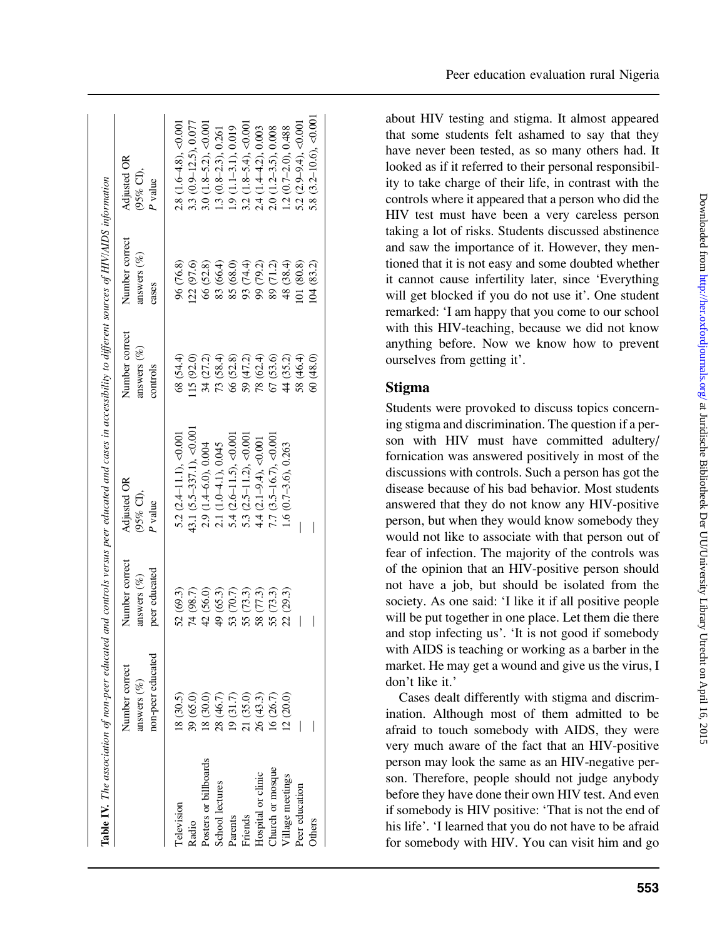|                       | non-peer educated<br>Number correct<br>answers $(\%)$ | Number correct<br>peer educated<br>answers $(\%)$ | Adjusted OR<br>$(95\% \text{ Cl})$ ,<br>P value | Number correct<br>answers $(\%)$<br>controls | Number correct<br>answers $(\%)$<br>cases | Adjusted OR<br>(95% CI),<br>P value |
|-----------------------|-------------------------------------------------------|---------------------------------------------------|-------------------------------------------------|----------------------------------------------|-------------------------------------------|-------------------------------------|
| Television            | 18(30.5)                                              | 52 (69.3)                                         | 5.2 $(2.4 - 11.1)$ , <0.001                     | 68 (54.4)                                    | 96 (76.8)                                 | $2.8(1.6-4.8), <0.001$              |
| Radio                 | 39 (65.0)                                             | 74 (98.7)                                         | 43.1 $(5.5-337.1)$ , <0.001                     | 115 (92.0)                                   | 122(97.6)                                 | $3.3(0.9-12.5), 0.077$              |
| Posters or billboards | 18 (30.0)                                             | 42 (56.0)                                         | 2.9 (1.4-6.0), 0.004                            | 34 (27.2)                                    | 66 (52.8)                                 | $3.0(1.8-5.2), <0.001$              |
| School lectures       | 28 (46.7)                                             | 49 (65.3)                                         | $2.1(1.0-4.1), 0.045$                           | 73 (58.4)                                    | 83 (66.4)                                 | $1.3(0.8-2.3), 0.261$               |
| Parents               | 19(31.7)                                              | 53 (70.7)                                         | $5.4$ (2.6-11.5), < $0.001$                     | 66 (52.8)                                    | 85 (68.0)                                 | $1.9(1.1-3.1), 0.019$               |
| Friends               | 21 (35.0)                                             | 55 (73.3)                                         | 5.3 $(2.5 - 11.2)$ , <0.001                     | 59 (47.2)                                    | 93 (74.4)                                 | 3.2 $(1.8-5.4)$ , <0.001            |
| Hospital or clinic    | 26(43.3)                                              | 58 (77.3)                                         | $4.4(2.1-9.4), 0.001$                           | 78 (62.4)                                    | 99 (79.2)                                 | 2.4 (1.4-4.2), 0.003                |
| Church or mosque      | 16(26.7)                                              | 55 (73.3)                                         | $7.7 (3.5 - 16.7), < 0.001$                     | 67 (53.6)                                    | 89 (71.2)                                 | $2.0(1.2 - 3.5), 0.008$             |
| Village meetings      | (20.0)                                                | 22 (29.3)                                         | $1.6(0.7-3.6), 0.263$                           | 44 (35.2)                                    | 48 (38.4)                                 | 1.2 (0.7-2.0), 0.488                |
| Peer education        |                                                       |                                                   |                                                 | 58 (46.4)                                    | (01(80.8))                                | $5.2(2.9-9.4), <0.001$              |
| Others                |                                                       |                                                   |                                                 | 60(48.0)                                     | (04(83.2))                                | 5.8 $(3.2 - 10.6)$ , <0.001         |

about HIV testing and stigma. It almost appeared that some students felt ashamed to say that they have never been tested, as so many others had. It looked as if it referred to their personal responsibility to take charge of their life, in contrast with the controls where it appeared that a person who did the HIV test must have been a very careless person taking a lot of risks. Students discussed abstinence and saw the importance of it. However, they mentioned that it is not easy and some doubted whether it cannot cause infertility later, since 'Everything will get blocked if you do not use it'. One student remarked: 'I am happy that you come to our school with this HIV-teaching, because we did not know anything before. Now we know how to prevent ourselves from getting it'.

### Stigma

Students were provoked to discuss topics concerning stigma and discrimination. The question if a person with HIV must have committed adultery/ fornication was answered positively in most of the discussions with controls. Such a person has got the disease because of his bad behavior. Most students answered that they do not know any HIV-positive person, but when they would know somebody they would not like to associate with that person out of fear of infection. The majority of the controls was of the opinion that an HIV-positive person should not have a job, but should be isolated from the society. As one said: 'I like it if all positive people will be put together in one place. Let them die there and stop infecting us'. 'It is not good if somebody with AIDS is teaching or working as a barber in the market. He may get a wound and give us the virus, I don't like it.'

Cases dealt differently with stigma and discrimination. Although most of them admitted to be afraid to touch somebody with AIDS, they were very much aware of the fact that an HIV-positive person may look the same as an HIV-negative person. Therefore, people should not judge anybody before they have done their own HIV test. And even if somebody is HIV positive: 'That is not the end of his life'. 'I learned that you do not have to be afraid for somebody with HIV. You can visit him and go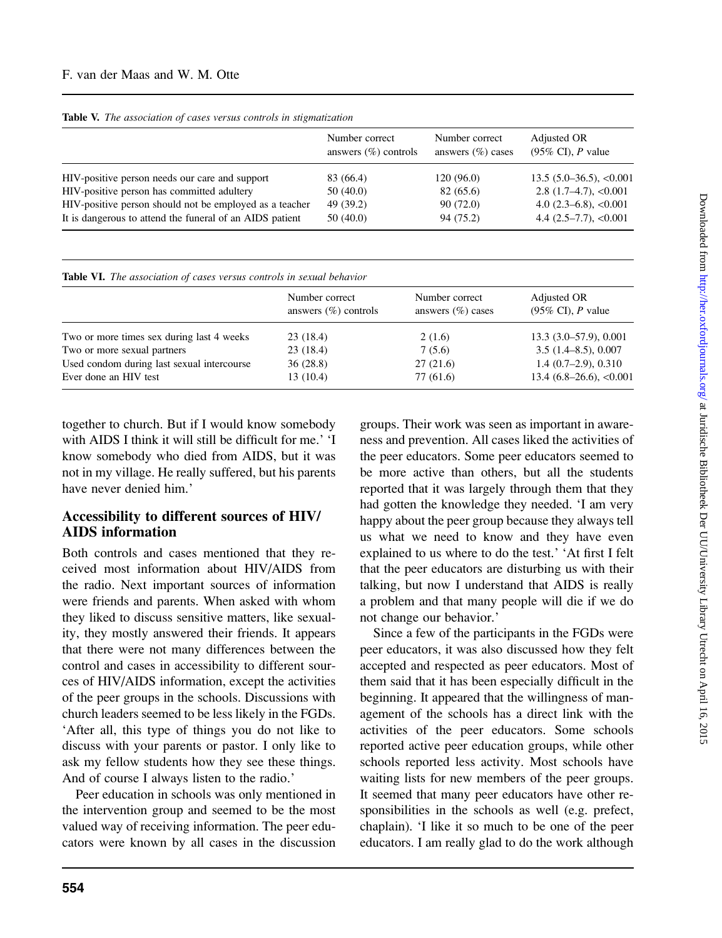|                                                          | Number correct<br>answers $(\% )$ controls | Number correct<br>answers $(\% )$ cases | Adjusted OR<br>$(95\% \text{ CI})$ , P value |
|----------------------------------------------------------|--------------------------------------------|-----------------------------------------|----------------------------------------------|
| HIV-positive person needs our care and support           | 83 (66.4)                                  | 120(96.0)                               | $13.5(5.0-36.5), <0.001$                     |
| HIV-positive person has committed adultery               | 50(40.0)                                   | 82 (65.6)                               | $2.8(1.7-4.7), <0.001$                       |
| HIV-positive person should not be employed as a teacher  | 49 (39.2)                                  | 90(72.0)                                | 4.0 $(2.3-6.8)$ , <0.001                     |
| It is dangerous to attend the funeral of an AIDS patient | 50(40.0)                                   | 94 (75.2)                               | 4.4 $(2.5-7.7)$ , <0.001                     |

|  |  |  |  |  |  |  |  | <b>Table V.</b> The association of cases versus controls in stigmatization |
|--|--|--|--|--|--|--|--|----------------------------------------------------------------------------|
|--|--|--|--|--|--|--|--|----------------------------------------------------------------------------|

Table VI. The association of cases versus controls in sexual behavior

|                                            | Number correct<br>answers $(\% )$ controls | Number correct<br>answers $(\% )$ cases | Adjusted OR<br>$(95\% \text{ CI})$ , P value |
|--------------------------------------------|--------------------------------------------|-----------------------------------------|----------------------------------------------|
| Two or more times sex during last 4 weeks  | 23(18.4)                                   | 2(1.6)                                  | $13.3(3.0-57.9), 0.001$                      |
| Two or more sexual partners                | 23(18.4)                                   | 7(5.6)                                  | 3.5(1.4–8.5), 0.007                          |
| Used condom during last sexual intercourse | 36(28.8)                                   | 27(21.6)                                | $1.4(0.7-2.9), 0.310$                        |
| Ever done an HIV test                      | 13(10.4)                                   | 77 (61.6)                               | $13.4(6.8-26.6), <0.001$                     |

together to church. But if I would know somebody with AIDS I think it will still be difficult for me.' 'I know somebody who died from AIDS, but it was not in my village. He really suffered, but his parents have never denied him.'

### Accessibility to different sources of HIV/ AIDS information

Both controls and cases mentioned that they received most information about HIV/AIDS from the radio. Next important sources of information were friends and parents. When asked with whom they liked to discuss sensitive matters, like sexuality, they mostly answered their friends. It appears that there were not many differences between the control and cases in accessibility to different sources of HIV/AIDS information, except the activities of the peer groups in the schools. Discussions with church leaders seemed to be less likely in the FGDs. 'After all, this type of things you do not like to discuss with your parents or pastor. I only like to ask my fellow students how they see these things. And of course I always listen to the radio.'

Peer education in schools was only mentioned in the intervention group and seemed to be the most valued way of receiving information. The peer educators were known by all cases in the discussion groups. Their work was seen as important in awareness and prevention. All cases liked the activities of the peer educators. Some peer educators seemed to be more active than others, but all the students reported that it was largely through them that they had gotten the knowledge they needed. 'I am very happy about the peer group because they always tell us what we need to know and they have even explained to us where to do the test.' 'At first I felt that the peer educators are disturbing us with their talking, but now I understand that AIDS is really a problem and that many people will die if we do not change our behavior.'

Since a few of the participants in the FGDs were peer educators, it was also discussed how they felt accepted and respected as peer educators. Most of them said that it has been especially difficult in the beginning. It appeared that the willingness of management of the schools has a direct link with the activities of the peer educators. Some schools reported active peer education groups, while other schools reported less activity. Most schools have waiting lists for new members of the peer groups. It seemed that many peer educators have other responsibilities in the schools as well (e.g. prefect, chaplain). 'I like it so much to be one of the peer educators. I am really glad to do the work although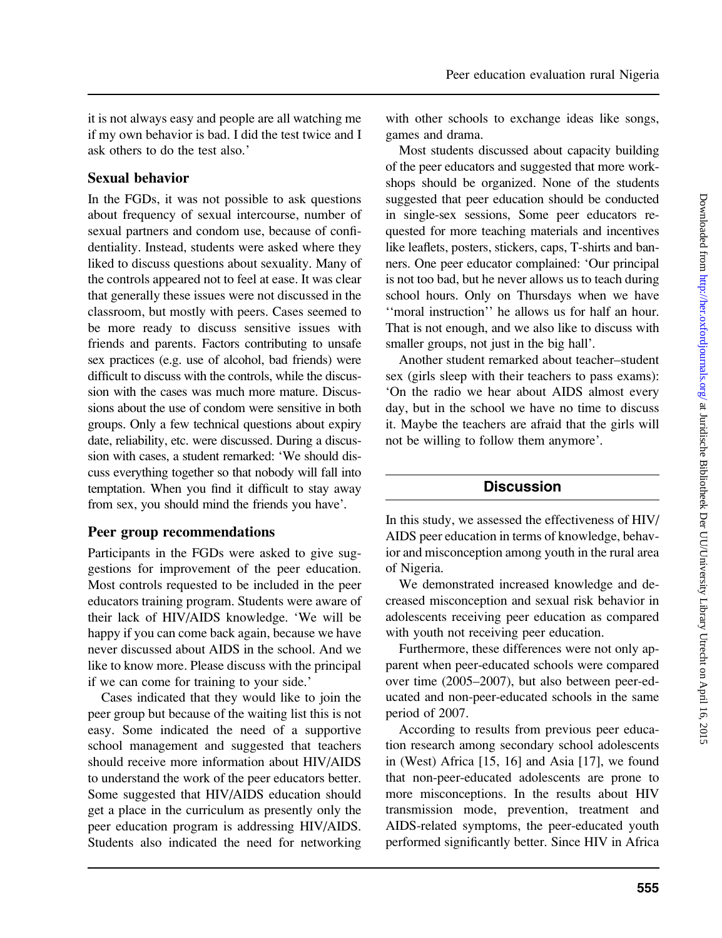it is not always easy and people are all watching me if my own behavior is bad. I did the test twice and I ask others to do the test also.'

### Sexual behavior

In the FGDs, it was not possible to ask questions about frequency of sexual intercourse, number of sexual partners and condom use, because of confidentiality. Instead, students were asked where they liked to discuss questions about sexuality. Many of the controls appeared not to feel at ease. It was clear that generally these issues were not discussed in the classroom, but mostly with peers. Cases seemed to be more ready to discuss sensitive issues with friends and parents. Factors contributing to unsafe sex practices (e.g. use of alcohol, bad friends) were difficult to discuss with the controls, while the discussion with the cases was much more mature. Discussions about the use of condom were sensitive in both groups. Only a few technical questions about expiry date, reliability, etc. were discussed. During a discussion with cases, a student remarked: 'We should discuss everything together so that nobody will fall into temptation. When you find it difficult to stay away from sex, you should mind the friends you have'.

# Peer group recommendations

Participants in the FGDs were asked to give suggestions for improvement of the peer education. Most controls requested to be included in the peer educators training program. Students were aware of their lack of HIV/AIDS knowledge. 'We will be happy if you can come back again, because we have never discussed about AIDS in the school. And we like to know more. Please discuss with the principal if we can come for training to your side.'

Cases indicated that they would like to join the peer group but because of the waiting list this is not easy. Some indicated the need of a supportive school management and suggested that teachers should receive more information about HIV/AIDS to understand the work of the peer educators better. Some suggested that HIV/AIDS education should get a place in the curriculum as presently only the peer education program is addressing HIV/AIDS. Students also indicated the need for networking with other schools to exchange ideas like songs, games and drama.

Most students discussed about capacity building of the peer educators and suggested that more workshops should be organized. None of the students suggested that peer education should be conducted in single-sex sessions, Some peer educators requested for more teaching materials and incentives like leaflets, posters, stickers, caps, T-shirts and banners. One peer educator complained: 'Our principal is not too bad, but he never allows us to teach during school hours. Only on Thursdays when we have ''moral instruction'' he allows us for half an hour. That is not enough, and we also like to discuss with smaller groups, not just in the big hall'.

Another student remarked about teacher–student sex (girls sleep with their teachers to pass exams): 'On the radio we hear about AIDS almost every day, but in the school we have no time to discuss it. Maybe the teachers are afraid that the girls will not be willing to follow them anymore'.

# **Discussion**

In this study, we assessed the effectiveness of HIV/ AIDS peer education in terms of knowledge, behavior and misconception among youth in the rural area of Nigeria.

We demonstrated increased knowledge and decreased misconception and sexual risk behavior in adolescents receiving peer education as compared with youth not receiving peer education.

Furthermore, these differences were not only apparent when peer-educated schools were compared over time (2005–2007), but also between peer-educated and non-peer-educated schools in the same period of 2007.

According to results from previous peer education research among secondary school adolescents in (West) Africa [15, 16] and Asia [17], we found that non-peer-educated adolescents are prone to more misconceptions. In the results about HIV transmission mode, prevention, treatment and AIDS-related symptoms, the peer-educated youth performed significantly better. Since HIV in Africa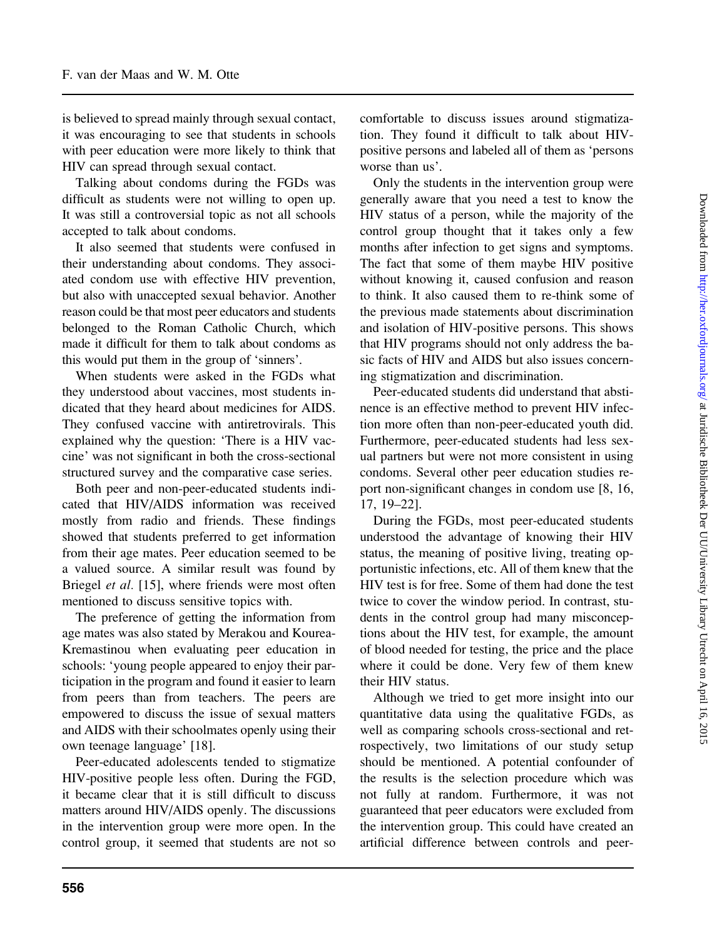is believed to spread mainly through sexual contact, it was encouraging to see that students in schools with peer education were more likely to think that HIV can spread through sexual contact.

Talking about condoms during the FGDs was difficult as students were not willing to open up. It was still a controversial topic as not all schools accepted to talk about condoms.

It also seemed that students were confused in their understanding about condoms. They associated condom use with effective HIV prevention, but also with unaccepted sexual behavior. Another reason could be that most peer educators and students belonged to the Roman Catholic Church, which made it difficult for them to talk about condoms as this would put them in the group of 'sinners'.

When students were asked in the FGDs what they understood about vaccines, most students indicated that they heard about medicines for AIDS. They confused vaccine with antiretrovirals. This explained why the question: 'There is a HIV vaccine' was not significant in both the cross-sectional structured survey and the comparative case series.

Both peer and non-peer-educated students indicated that HIV/AIDS information was received mostly from radio and friends. These findings showed that students preferred to get information from their age mates. Peer education seemed to be a valued source. A similar result was found by Briegel *et al.* [15], where friends were most often mentioned to discuss sensitive topics with.

The preference of getting the information from age mates was also stated by Merakou and Kourea-Kremastinou when evaluating peer education in schools: 'young people appeared to enjoy their participation in the program and found it easier to learn from peers than from teachers. The peers are empowered to discuss the issue of sexual matters and AIDS with their schoolmates openly using their own teenage language' [18].

Peer-educated adolescents tended to stigmatize HIV-positive people less often. During the FGD, it became clear that it is still difficult to discuss matters around HIV/AIDS openly. The discussions in the intervention group were more open. In the control group, it seemed that students are not so comfortable to discuss issues around stigmatization. They found it difficult to talk about HIVpositive persons and labeled all of them as 'persons worse than us'.

Only the students in the intervention group were generally aware that you need a test to know the HIV status of a person, while the majority of the control group thought that it takes only a few months after infection to get signs and symptoms. The fact that some of them maybe HIV positive without knowing it, caused confusion and reason to think. It also caused them to re-think some of the previous made statements about discrimination and isolation of HIV-positive persons. This shows that HIV programs should not only address the basic facts of HIV and AIDS but also issues concerning stigmatization and discrimination.

Peer-educated students did understand that abstinence is an effective method to prevent HIV infection more often than non-peer-educated youth did. Furthermore, peer-educated students had less sexual partners but were not more consistent in using condoms. Several other peer education studies report non-significant changes in condom use [8, 16, 17, 19–22].

During the FGDs, most peer-educated students understood the advantage of knowing their HIV status, the meaning of positive living, treating opportunistic infections, etc. All of them knew that the HIV test is for free. Some of them had done the test twice to cover the window period. In contrast, students in the control group had many misconceptions about the HIV test, for example, the amount of blood needed for testing, the price and the place where it could be done. Very few of them knew their HIV status.

Although we tried to get more insight into our quantitative data using the qualitative FGDs, as well as comparing schools cross-sectional and retrospectively, two limitations of our study setup should be mentioned. A potential confounder of the results is the selection procedure which was not fully at random. Furthermore, it was not guaranteed that peer educators were excluded from the intervention group. This could have created an artificial difference between controls and peer-